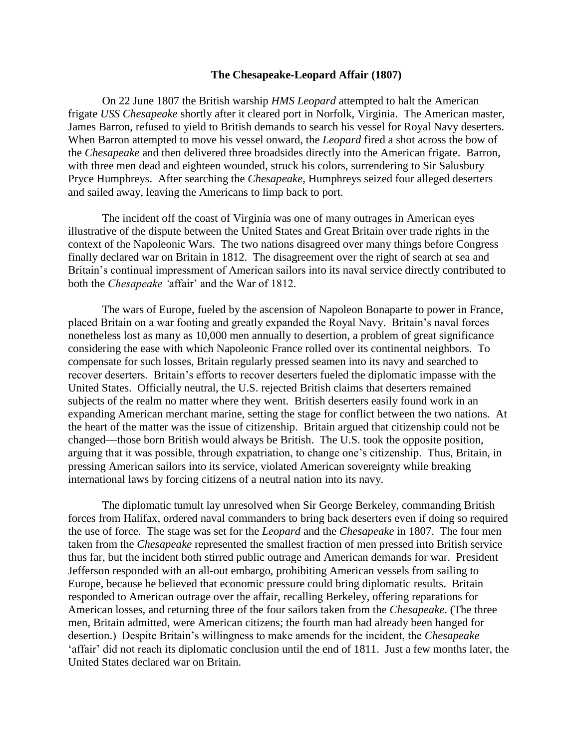## **The Chesapeake-Leopard Affair (1807)**

On 22 June 1807 the British warship *HMS Leopard* attempted to halt the American frigate *USS Chesapeake* shortly after it cleared port in Norfolk, Virginia. The American master, James Barron, refused to yield to British demands to search his vessel for Royal Navy deserters. When Barron attempted to move his vessel onward, the *Leopard* fired a shot across the bow of the *Chesapeake* and then delivered three broadsides directly into the American frigate. Barron, with three men dead and eighteen wounded, struck his colors, surrendering to Sir Salusbury Pryce Humphreys. After searching the *Chesapeake*, Humphreys seized four alleged deserters and sailed away, leaving the Americans to limp back to port.

The incident off the coast of Virginia was one of many outrages in American eyes illustrative of the dispute between the United States and Great Britain over trade rights in the context of the Napoleonic Wars. The two nations disagreed over many things before Congress finally declared war on Britain in 1812. The disagreement over the right of search at sea and Britain's continual impressment of American sailors into its naval service directly contributed to both the *Chesapeake '*affair' and the War of 1812.

The wars of Europe, fueled by the ascension of Napoleon Bonaparte to power in France, placed Britain on a war footing and greatly expanded the Royal Navy. Britain's naval forces nonetheless lost as many as 10,000 men annually to desertion, a problem of great significance considering the ease with which Napoleonic France rolled over its continental neighbors. To compensate for such losses, Britain regularly pressed seamen into its navy and searched to recover deserters. Britain's efforts to recover deserters fueled the diplomatic impasse with the United States. Officially neutral, the U.S. rejected British claims that deserters remained subjects of the realm no matter where they went. British deserters easily found work in an expanding American merchant marine, setting the stage for conflict between the two nations. At the heart of the matter was the issue of citizenship. Britain argued that citizenship could not be changed—those born British would always be British. The U.S. took the opposite position, arguing that it was possible, through expatriation, to change one's citizenship. Thus, Britain, in pressing American sailors into its service, violated American sovereignty while breaking international laws by forcing citizens of a neutral nation into its navy.

The diplomatic tumult lay unresolved when Sir George Berkeley, commanding British forces from Halifax, ordered naval commanders to bring back deserters even if doing so required the use of force. The stage was set for the *Leopard* and the *Chesapeake* in 1807. The four men taken from the *Chesapeake* represented the smallest fraction of men pressed into British service thus far, but the incident both stirred public outrage and American demands for war. President Jefferson responded with an all-out embargo, prohibiting American vessels from sailing to Europe, because he believed that economic pressure could bring diplomatic results. Britain responded to American outrage over the affair, recalling Berkeley, offering reparations for American losses, and returning three of the four sailors taken from the *Chesapeake*. (The three men, Britain admitted, were American citizens; the fourth man had already been hanged for desertion.) Despite Britain's willingness to make amends for the incident, the *Chesapeake* 'affair' did not reach its diplomatic conclusion until the end of 1811. Just a few months later, the United States declared war on Britain.